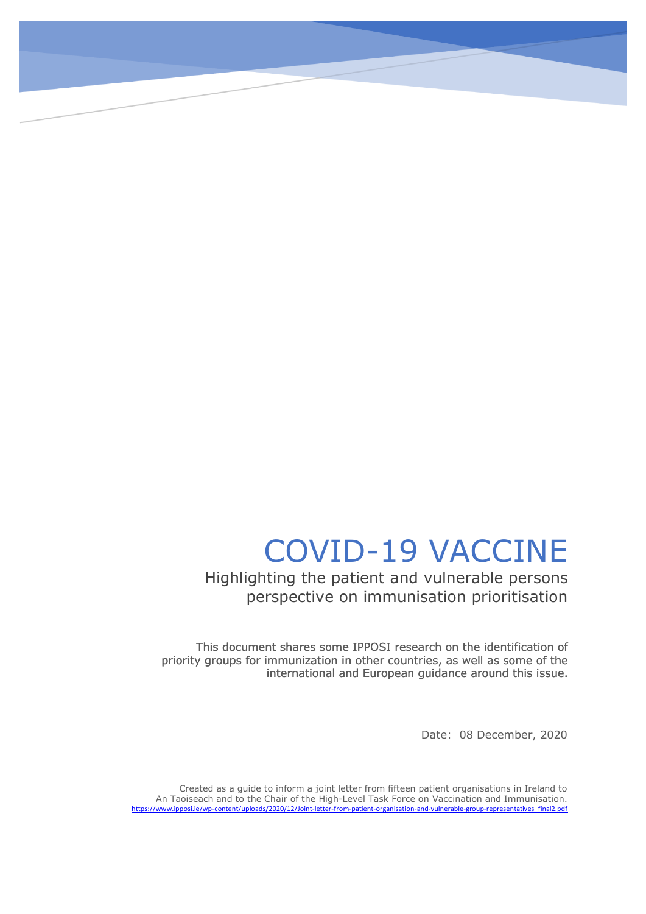## COVID-19 VACCINE

Highlighting the patient and vulnerable persons perspective on immunisation prioritisation

This document shares some IPPOSI research on the identification of priority groups for immunization in other countries, as well as some of the international and European guidance around this issue. international and European guidance around this issue.

Date: 08 December, 2020

Created as a guide to inform a joint letter from fifteen patient organisations in Ireland to An Taoiseach and to the Chair of the High-Level Task Force on Vaccination and Immunisation. [https://www.ipposi.ie/wp-content/uploads/2020/12/Joint-letter-from-patient-organisation-and-vulnerable-group-representatives\\_final2.pdf](https://www.ipposi.ie/wp-content/uploads/2020/12/Joint-letter-from-patient-organisation-and-vulnerable-group-representatives_final2.pdf)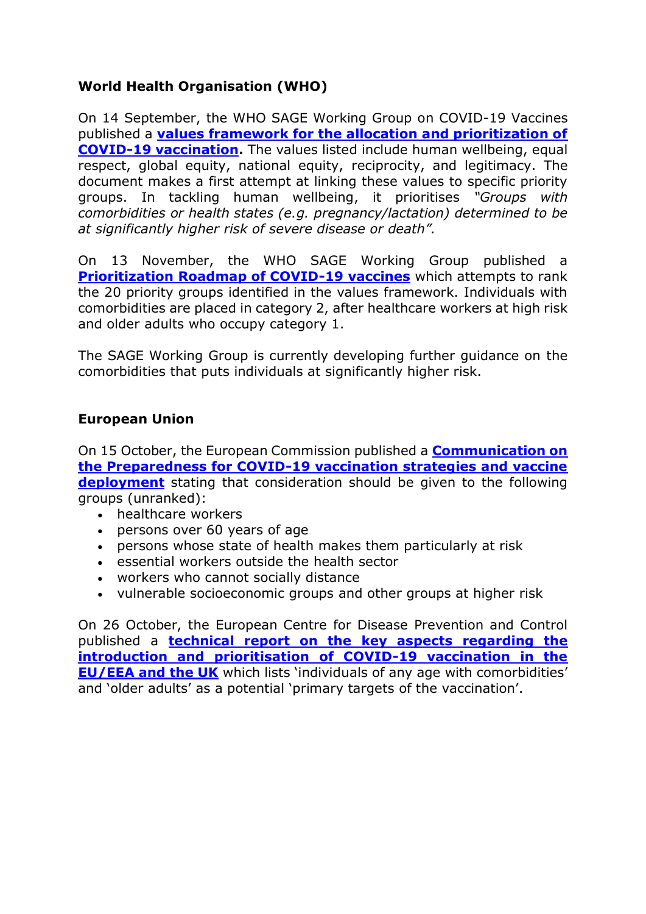## **World Health Organisation (WHO)**

On 14 September, the WHO SAGE Working Group on COVID-19 Vaccines published a **[values framework for the allocation and prioritization of](https://apps.who.int/iris/bitstream/handle/10665/334299/WHO-2019-nCoV-SAGE_Framework-Allocation_and_prioritization-2020.1-eng.pdf?ua=1)  [COVID-19 vaccination.](https://apps.who.int/iris/bitstream/handle/10665/334299/WHO-2019-nCoV-SAGE_Framework-Allocation_and_prioritization-2020.1-eng.pdf?ua=1)** The values listed include human wellbeing, equal respect, global equity, national equity, reciprocity, and legitimacy. The document makes a first attempt at linking these values to specific priority groups. In tackling human wellbeing, it prioritises *"Groups with comorbidities or health states (e.g. pregnancy/lactation) determined to be at significantly higher risk of severe disease or death".*

On 13 November, the WHO SAGE Working Group published a **[Prioritization Roadmap of COVID-19 vaccines](https://www.who.int/docs/default-source/immunization/sage/covid/sage-prioritization-roadmap-covid19-vaccines.pdf?Status=Temp&sfvrsn=bf227443_2)** which attempts to rank the 20 priority groups identified in the values framework. Individuals with comorbidities are placed in category 2, after healthcare workers at high risk and older adults who occupy category 1.

The SAGE Working Group is currently developing further guidance on the comorbidities that puts individuals at significantly higher risk.

## **European Union**

On 15 October, the European Commission published a **[Communication on](https://ec.europa.eu/health/sites/health/files/vaccination/docs/2020_strategies_deployment_en.pdf)  [the Preparedness for COVID-19 vaccination strategies and vaccine](https://ec.europa.eu/health/sites/health/files/vaccination/docs/2020_strategies_deployment_en.pdf)  [deployment](https://ec.europa.eu/health/sites/health/files/vaccination/docs/2020_strategies_deployment_en.pdf)** stating that consideration should be given to the following groups (unranked):

- healthcare workers
- persons over 60 years of age
- persons whose state of health makes them particularly at risk
- essential workers outside the health sector
- workers who cannot socially distance
- vulnerable socioeconomic groups and other groups at higher risk

On 26 October, the European Centre for Disease Prevention and Control published a **[technical report on the key aspects regarding the](https://www.ecdc.europa.eu/sites/default/files/documents/Key-aspects-regarding-introduction-and-prioritisation-of-COVID-19-vaccination.pdf)  [introduction and prioritisation of COVID-19 vaccination in the](https://www.ecdc.europa.eu/sites/default/files/documents/Key-aspects-regarding-introduction-and-prioritisation-of-COVID-19-vaccination.pdf)  [EU/EEA and the UK](https://www.ecdc.europa.eu/sites/default/files/documents/Key-aspects-regarding-introduction-and-prioritisation-of-COVID-19-vaccination.pdf)** which lists 'individuals of any age with comorbidities' and 'older adults' as a potential 'primary targets of the vaccination'.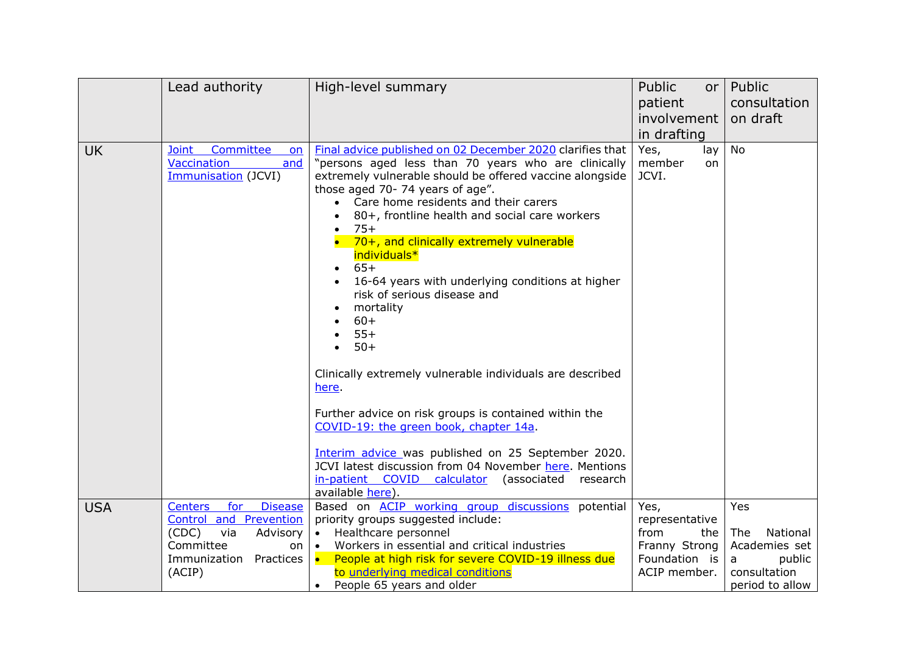|            | Lead authority                                                                                                                                              | High-level summary                                                                                                                                                                                                                                                                                                                                                                                                                                                                                                                                                                                                                                                                                                                                                                                                                                                                                | Public<br>or <sub>l</sub><br>patient                                    | Public<br>consultation                                 |
|------------|-------------------------------------------------------------------------------------------------------------------------------------------------------------|---------------------------------------------------------------------------------------------------------------------------------------------------------------------------------------------------------------------------------------------------------------------------------------------------------------------------------------------------------------------------------------------------------------------------------------------------------------------------------------------------------------------------------------------------------------------------------------------------------------------------------------------------------------------------------------------------------------------------------------------------------------------------------------------------------------------------------------------------------------------------------------------------|-------------------------------------------------------------------------|--------------------------------------------------------|
|            |                                                                                                                                                             |                                                                                                                                                                                                                                                                                                                                                                                                                                                                                                                                                                                                                                                                                                                                                                                                                                                                                                   | involvement<br>in drafting                                              | on draft                                               |
| <b>UK</b>  | Committee<br>Joint<br>on<br><b>Vaccination</b><br>and<br>Immunisation (JCVI)                                                                                | Final advice published on 02 December 2020 clarifies that<br>"persons aged less than 70 years who are clinically<br>extremely vulnerable should be offered vaccine alongside<br>those aged 70-74 years of age".<br>• Care home residents and their carers<br>80+, frontline health and social care workers<br>$75+$<br>70+, and clinically extremely vulnerable<br>individuals*<br>$65+$<br>16-64 years with underlying conditions at higher<br>risk of serious disease and<br>mortality<br>$60+$<br>$55+$<br>$50+$<br>$\bullet$<br>Clinically extremely vulnerable individuals are described<br>here.<br>Further advice on risk groups is contained within the<br>COVID-19: the green book, chapter 14a.<br>Interim advice was published on 25 September 2020.<br>JCVI latest discussion from 04 November here. Mentions<br>in-patient_COVID_calculator (associated research<br>available here). | Yes,<br>lay<br>member<br>on<br>JCVI.                                    | <b>No</b>                                              |
| <b>USA</b> | for<br><b>Disease</b><br><b>Centers</b><br><b>Control and Prevention</b><br>(CDC)<br>via<br>Advisory<br>Committee<br><b>on</b><br>Practices<br>Immunization | Based on <b>ACIP</b> working group discussions potential<br>priority groups suggested include:<br>Healthcare personnel<br>$\bullet$<br>Workers in essential and critical industries<br>$\bullet$<br>People at high risk for severe COVID-19 illness due<br>$\bullet$ $\bullet$                                                                                                                                                                                                                                                                                                                                                                                                                                                                                                                                                                                                                    | Yes,<br>representative<br>from<br>the<br>Franny Strong<br>Foundation is | Yes<br>National<br>The<br>Academies set<br>public<br>a |
|            | (ACIP)                                                                                                                                                      | to underlying medical conditions<br>People 65 years and older<br>$\bullet$                                                                                                                                                                                                                                                                                                                                                                                                                                                                                                                                                                                                                                                                                                                                                                                                                        | ACIP member.                                                            | consultation<br>period to allow                        |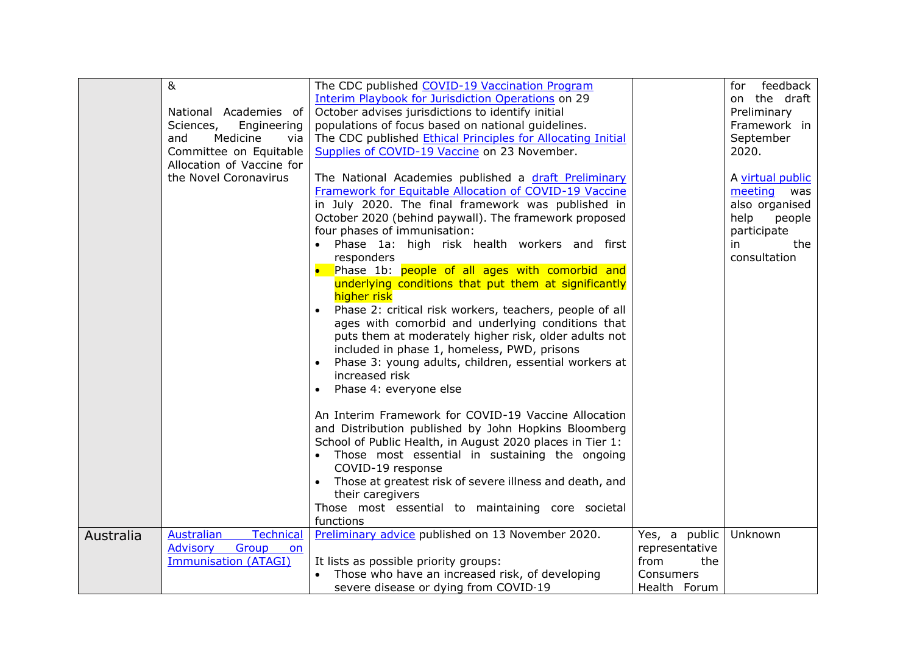|           | 8 <sub>k</sub>                        | The CDC published COVID-19 Vaccination Program              |                | feedback<br>for  |
|-----------|---------------------------------------|-------------------------------------------------------------|----------------|------------------|
|           |                                       | <b>Interim Playbook for Jurisdiction Operations on 29</b>   |                | on the draft     |
|           | National Academies of                 | October advises jurisdictions to identify initial           |                | Preliminary      |
|           | Sciences,<br>Engineering              | populations of focus based on national guidelines.          |                | Framework in     |
|           | Medicine<br>and<br>via                | The CDC published Ethical Principles for Allocating Initial |                | September        |
|           | Committee on Equitable                | Supplies of COVID-19 Vaccine on 23 November.                |                | 2020.            |
|           | Allocation of Vaccine for             |                                                             |                |                  |
|           | the Novel Coronavirus                 | The National Academies published a draft Preliminary        |                | A virtual public |
|           |                                       | Framework for Equitable Allocation of COVID-19 Vaccine      |                | meeting<br>was   |
|           |                                       | in July 2020. The final framework was published in          |                | also organised   |
|           |                                       | October 2020 (behind paywall). The framework proposed       |                | help<br>people   |
|           |                                       | four phases of immunisation:                                |                | participate      |
|           |                                       | Phase 1a: high risk health workers and first                |                | the<br>in        |
|           |                                       | responders                                                  |                | consultation     |
|           |                                       | Phase 1b: people of all ages with comorbid and              |                |                  |
|           |                                       | underlying conditions that put them at significantly        |                |                  |
|           |                                       | higher risk                                                 |                |                  |
|           |                                       | Phase 2: critical risk workers, teachers, people of all     |                |                  |
|           |                                       | ages with comorbid and underlying conditions that           |                |                  |
|           |                                       | puts them at moderately higher risk, older adults not       |                |                  |
|           |                                       | included in phase 1, homeless, PWD, prisons                 |                |                  |
|           |                                       | Phase 3: young adults, children, essential workers at       |                |                  |
|           |                                       | increased risk                                              |                |                  |
|           |                                       | Phase 4: everyone else                                      |                |                  |
|           |                                       |                                                             |                |                  |
|           |                                       | An Interim Framework for COVID-19 Vaccine Allocation        |                |                  |
|           |                                       | and Distribution published by John Hopkins Bloomberg        |                |                  |
|           |                                       | School of Public Health, in August 2020 places in Tier 1:   |                |                  |
|           |                                       | Those most essential in sustaining the ongoing              |                |                  |
|           |                                       | COVID-19 response                                           |                |                  |
|           |                                       | Those at greatest risk of severe illness and death, and     |                |                  |
|           |                                       | their caregivers                                            |                |                  |
|           |                                       | Those most essential to maintaining core societal           |                |                  |
|           |                                       | functions                                                   |                |                  |
| Australia | Australian<br><b>Technical</b>        | Preliminary advice published on 13 November 2020.           | Yes, a public  | Unknown          |
|           | <b>Advisory</b><br>Group<br><b>on</b> |                                                             | representative |                  |
|           | <b>Immunisation (ATAGI)</b>           | It lists as possible priority groups:                       | from<br>the    |                  |
|           |                                       | Those who have an increased risk, of developing             | Consumers      |                  |
|           |                                       | severe disease or dying from COVID-19                       | Health Forum   |                  |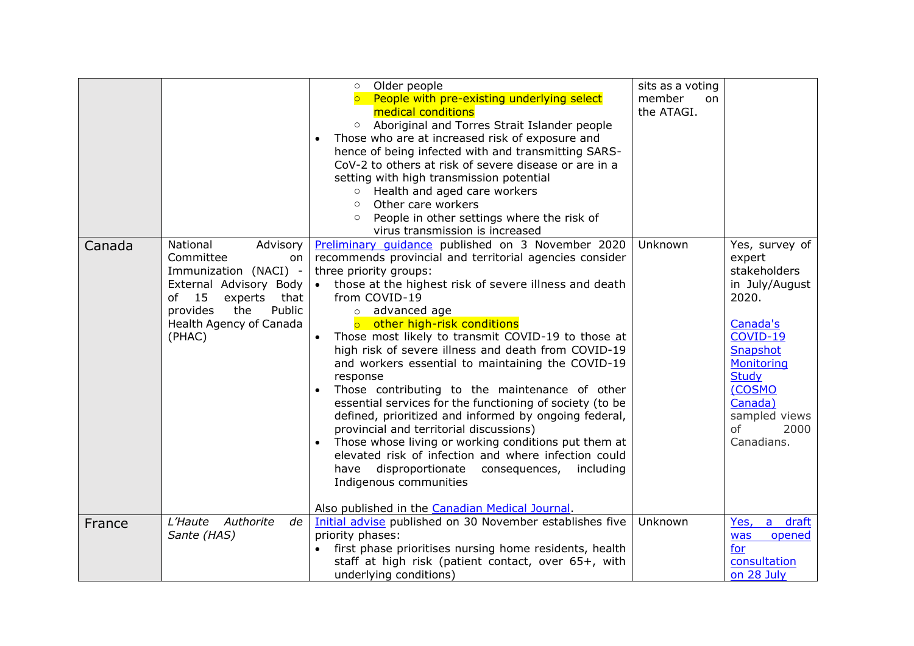|        |                                                                                                                                                                   | Older people<br>$\circ$<br>o People with pre-existing underlying select<br>medical conditions<br>Aboriginal and Torres Strait Islander people<br>$\circ$<br>Those who are at increased risk of exposure and<br>hence of being infected with and transmitting SARS-<br>CoV-2 to others at risk of severe disease or are in a<br>setting with high transmission potential<br>○ Health and aged care workers<br>Other care workers<br>$\circ$<br>People in other settings where the risk of<br>virus transmission is increased                                                                                                                                                                                                                                                                                                                                                                                                                          | sits as a voting<br>member<br><sub>on</sub><br>the ATAGI. |                                                                                                                                                                                                                    |
|--------|-------------------------------------------------------------------------------------------------------------------------------------------------------------------|------------------------------------------------------------------------------------------------------------------------------------------------------------------------------------------------------------------------------------------------------------------------------------------------------------------------------------------------------------------------------------------------------------------------------------------------------------------------------------------------------------------------------------------------------------------------------------------------------------------------------------------------------------------------------------------------------------------------------------------------------------------------------------------------------------------------------------------------------------------------------------------------------------------------------------------------------|-----------------------------------------------------------|--------------------------------------------------------------------------------------------------------------------------------------------------------------------------------------------------------------------|
| Canada | National<br>Advisory<br>Committee<br>on<br>Immunization (NACI) -<br>15<br>of<br>experts<br>that<br>the<br>Public<br>provides<br>Health Agency of Canada<br>(PHAC) | Preliminary guidance published on 3 November 2020<br>recommends provincial and territorial agencies consider<br>three priority groups:<br>External Advisory Body $\bullet$ those at the highest risk of severe illness and death<br>from COVID-19<br>o advanced age<br>o other high-risk conditions<br>Those most likely to transmit COVID-19 to those at<br>high risk of severe illness and death from COVID-19<br>and workers essential to maintaining the COVID-19<br>response<br>Those contributing to the maintenance of other<br>essential services for the functioning of society (to be<br>defined, prioritized and informed by ongoing federal,<br>provincial and territorial discussions)<br>Those whose living or working conditions put them at<br>elevated risk of infection and where infection could<br>have disproportionate consequences,<br>including<br>Indigenous communities<br>Also published in the Canadian Medical Journal. | Unknown                                                   | Yes, survey of<br>expert<br>stakeholders<br>in July/August<br>2020.<br>Canada's<br>COVID-19<br>Snapshot<br>Monitoring<br><b>Study</b><br>(COSMO<br>Canada)<br>sampled views<br><sub>of</sub><br>2000<br>Canadians. |
| France | L'Haute<br>Authorite<br>de<br>Sante (HAS)                                                                                                                         | Initial advise published on 30 November establishes five<br>priority phases:<br>first phase prioritises nursing home residents, health<br>staff at high risk (patient contact, over 65+, with<br>underlying conditions)                                                                                                                                                                                                                                                                                                                                                                                                                                                                                                                                                                                                                                                                                                                              | Unknown                                                   | a draft<br>Yes,<br>opened<br>was<br>for<br>consultation<br>on 28 July                                                                                                                                              |